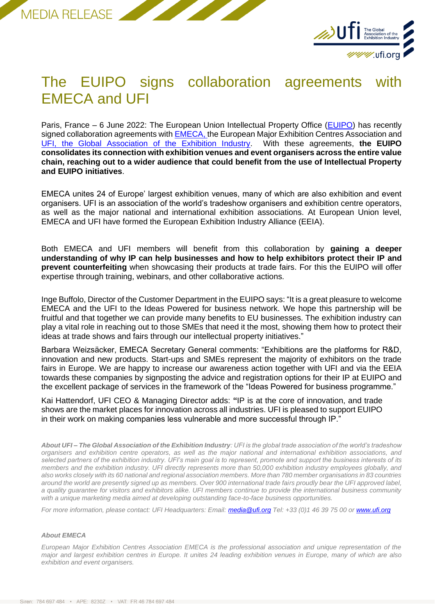



## The EUIPO signs collaboration agreements with EMECA and UFI

Paris, France – 6 June 2022: The European Union Intellectual Property Office [\(EUIPO\)](https://euipo.europa.eu/ohimportal/en/home) has recently signed collaboration agreements with [EMECA,](https://www.emeca.eu/) the European Major Exhibition Centres Association and UFI, [the Global Association of the Exhibition Industry.](https://www.ufi.org/) With these agreements, **the EUIPO consolidates its connection with exhibition venues and event organisers across the entire value chain, reaching out to a wider audience that could benefit from the use of Intellectual Property and EUIPO initiatives**.

EMECA unites 24 of Europe' largest exhibition venues, many of which are also exhibition and event organisers. UFI is an association of the world's tradeshow organisers and exhibition centre operators, as well as the major national and international exhibition associations. At European Union level, EMECA and UFI have formed the European Exhibition Industry Alliance (EEIA).

Both EMECA and UFI members will benefit from this collaboration by **gaining a deeper understanding of why IP can help businesses and how to help exhibitors protect their IP and prevent counterfeiting** when showcasing their products at trade fairs. For this the EUIPO will offer expertise through training, webinars, and other collaborative actions.

Inge Buffolo, Director of the Customer Department in the EUIPO says: "It is a great pleasure to welcome EMECA and the UFI to the Ideas Powered for business network. We hope this partnership will be fruitful and that together we can provide many benefits to EU businesses. The exhibition industry can play a vital role in reaching out to those SMEs that need it the most, showing them how to protect their ideas at trade shows and fairs through our intellectual property initiatives."

Barbara Weizsäcker, EMECA Secretary General comments: "Exhibitions are the platforms for R&D, innovation and new products. Start-ups and SMEs represent the majority of exhibitors on the trade fairs in Europe. We are happy to increase our awareness action together with UFI and via the EEIA towards these companies by signposting the advice and registration options for their IP at EUIPO and the excellent package of services in the framework of the "Ideas Powered for business programme."

Kai Hattendorf, UFI CEO & Managing Director adds: **"**IP is at the core of innovation, and trade shows are the market places for innovation across all industries. UFI is pleased to support EUIPO in their work on making companies less vulnerable and more successful through IP."

*About UFI – The Global Association of the Exhibition Industry: UFI is the global trade association of the world's tradeshow organisers and exhibition centre operators, as well as the major national and international exhibition associations, and selected partners of the exhibition industry. UFI's main goal is to represent, promote and support the business interests of its members and the exhibition industry. UFI directly represents more than 50,000 exhibition industry employees globally, and also works closely with its 60 national and regional association members. More than 780 member organisations in 83 countries around the world are presently signed up as members. Over 900 international trade fairs proudly bear the UFI approved label, a quality guarantee for visitors and exhibitors alike. UFI members continue to provide the international business community with a unique marketing media aimed at developing outstanding face-to-face business opportunities.* 

*For more information, please contact: UFI Headquarters: Email: [media@ufi.org](file:///C:/Users/Géraud/AppData/Local/Microsoft/Windows/INetCache/Content.Outlook/SG11ZYXR/media@ufi.org) Tel: +33 (0)1 46 39 75 00 or [www.ufi.org](file:///C:/Users/Géraud/AppData/Local/Microsoft/Windows/INetCache/Content.Outlook/SG11ZYXR/www.ufi.org)*

## *About EMECA*

*European Major Exhibition Centres Association EMECA is the professional association and unique representation of the major and largest exhibition centres in Europe. It unites 24 leading exhibition venues in Europe, many of which are also exhibition and event organisers.*